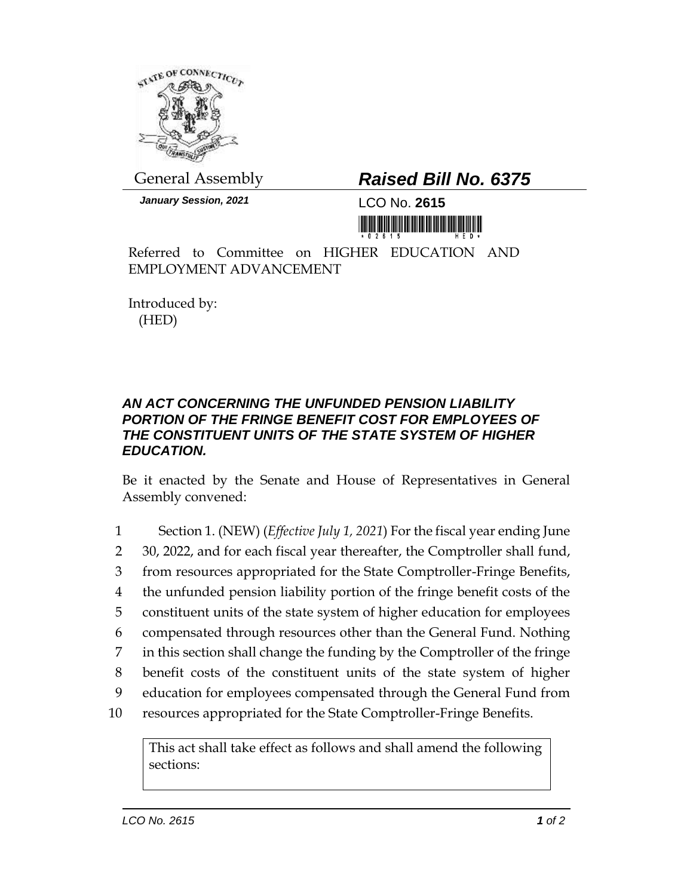

General Assembly *Raised Bill No. 6375*

*January Session, 2021* LCO No. **2615**

Referred to Committee on HIGHER EDUCATION AND EMPLOYMENT ADVANCEMENT

Introduced by: (HED)

## *AN ACT CONCERNING THE UNFUNDED PENSION LIABILITY PORTION OF THE FRINGE BENEFIT COST FOR EMPLOYEES OF THE CONSTITUENT UNITS OF THE STATE SYSTEM OF HIGHER EDUCATION.*

Be it enacted by the Senate and House of Representatives in General Assembly convened:

 Section 1. (NEW) (*Effective July 1, 2021*) For the fiscal year ending June 30, 2022, and for each fiscal year thereafter, the Comptroller shall fund, from resources appropriated for the State Comptroller-Fringe Benefits, the unfunded pension liability portion of the fringe benefit costs of the constituent units of the state system of higher education for employees compensated through resources other than the General Fund. Nothing in this section shall change the funding by the Comptroller of the fringe benefit costs of the constituent units of the state system of higher education for employees compensated through the General Fund from resources appropriated for the State Comptroller-Fringe Benefits.

This act shall take effect as follows and shall amend the following sections: